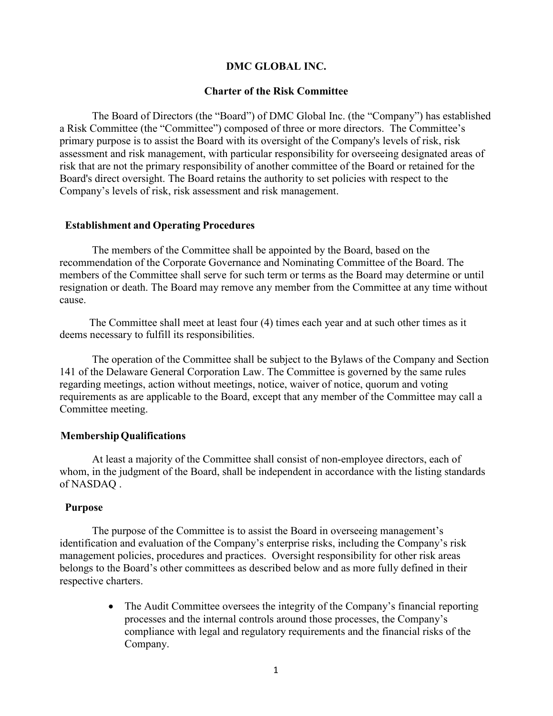# **DMC GLOBAL INC.**

## **Charter of the Risk Committee**

The Board of Directors (the "Board") of DMC Global Inc. (the "Company") has established a Risk Committee (the "Committee") composed of three or more directors. The Committee's primary purpose is to assist the Board with its oversight of the Company's levels of risk, risk assessment and risk management, with particular responsibility for overseeing designated areas of risk that are not the primary responsibility of another committee of the Board or retained for the Board's direct oversight. The Board retains the authority to set policies with respect to the Company's levels of risk, risk assessment and risk management.

## **Establishment and Operating Procedures**

The members of the Committee shall be appointed by the Board, based on the recommendation of the Corporate Governance and Nominating Committee of the Board. The members of the Committee shall serve for such term or terms as the Board may determine or until resignation or death. The Board may remove any member from the Committee at any time without cause.

The Committee shall meet at least four (4) times each year and at such other times as it deems necessary to fulfill its responsibilities.

The operation of the Committee shall be subject to the Bylaws of the Company and Section 141 of the Delaware General Corporation Law. The Committee is governed by the same rules regarding meetings, action without meetings, notice, waiver of notice, quorum and voting requirements as are applicable to the Board, except that any member of the Committee may call a Committee meeting.

#### **MembershipQualifications**

At least a majority of the Committee shall consist of non-employee directors, each of whom, in the judgment of the Board, shall be independent in accordance with the listing standards of NASDAQ .

# **Purpose**

The purpose of the Committee is to assist the Board in overseeing management's identification and evaluation of the Company's enterprise risks, including the Company's risk management policies, procedures and practices. Oversight responsibility for other risk areas belongs to the Board's other committees as described below and as more fully defined in their respective charters.

> • The Audit Committee oversees the integrity of the Company's financial reporting processes and the internal controls around those processes, the Company's compliance with legal and regulatory requirements and the financial risks of the Company.